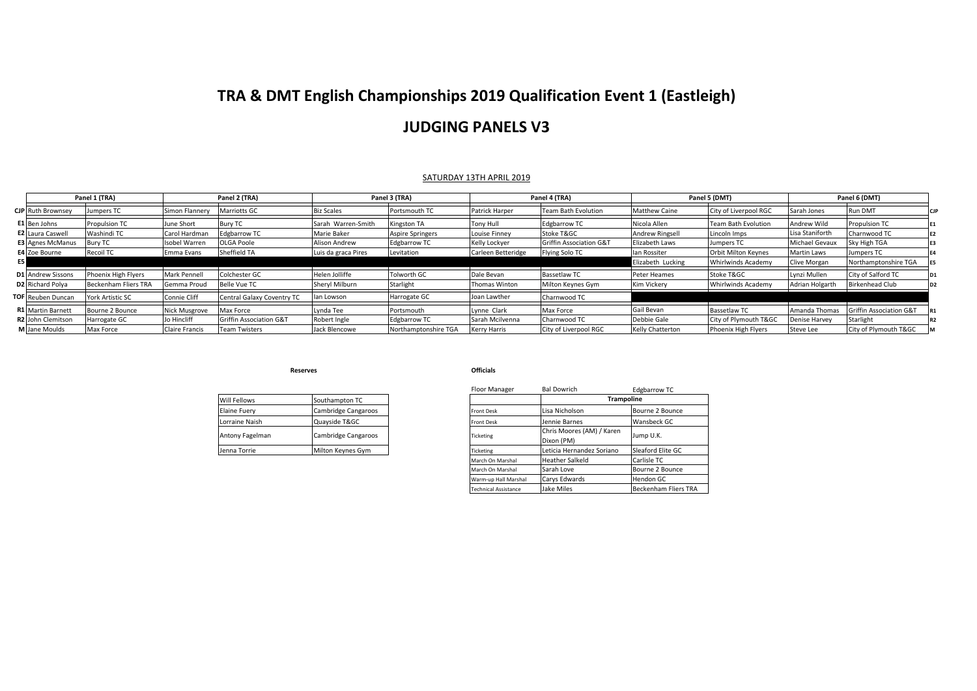## **TRA & DMT English Championships 2019 Qualification Event 1 (Eastleigh)**

### **JUDGING PANELS V3**

### SATURDAY 13TH APRIL 2019

|                          | Panel 1 (TRA)           |                     | Panel 2 (TRA)              |                     | Panel 3 (TRA)           |                    | Panel 4 (TRA)              |                         | Panel 5 (DMT)              |                       | Panel 6 (DMT)           |  |
|--------------------------|-------------------------|---------------------|----------------------------|---------------------|-------------------------|--------------------|----------------------------|-------------------------|----------------------------|-----------------------|-------------------------|--|
| <b>CJP</b> Ruth Brownsey | Jumpers TC              | Simon Flannery      | <b>Marriotts GC</b>        | <b>Biz Scales</b>   | Portsmouth TC           | Patrick Harper     | <b>Team Bath Evolution</b> | <b>Matthew Caine</b>    | City of Liverpool RGC      | Sarah Jones           | Run DMT                 |  |
| E1 Ben Johns             | <b>Propulsion TC</b>    | June Short          | <b>Bury TC</b>             | Sarah Warren-Smith  | Kingston TA             | Tony Hull          | <b>Edgbarrow TC</b>        | Nicola Allen            | <b>Team Bath Evolution</b> | Andrew Wild           | <b>Propulsion TC</b>    |  |
| <b>E2</b> Laura Caswell  | Washindi TC             | Carol Hardman       | <b>Edgbarrow TC</b>        | Marie Baker         | <b>Aspire Springers</b> | Louise Finney      | Stoke T&GC                 | <b>Andrew Ringsell</b>  | Lincoln Imps               | Lisa Staniforth       | Charnwood TC            |  |
| <b>E3 Agnes McManus</b>  | <b>Bury TC</b>          | Isobel Warren       | <b>OLGA Poole</b>          | Alison Andrew       | <b>Edgbarrow TC</b>     | Kelly Lockyer      | Griffin Association G&T    | Elizabeth Laws          | Jumpers TC                 | <b>Michael Gevaux</b> | Sky High TGA            |  |
| E4 Zoe Bourne            | Recoil TC               | Emma Evans          | Sheffield TA               | Luis da graca Pires | Levitation              | Carleen Betteridge | Flying Solo TC             | lan Rossiter            | <b>Orbit Milton Keynes</b> | Martin Laws           | Jumpers TC              |  |
| E5 I                     |                         |                     |                            |                     |                         |                    |                            | Elizabeth Lucking       | Whirlwinds Academy         | Clive Morgan          | Northamptonshire TGA    |  |
| <b>D1</b> Andrew Sissons | Phoenix High Flyers     | <b>Mark Pennell</b> | Colchester GC              | Helen Jolliffe      | <b>Tolworth GC</b>      | Dale Bevan         | <b>Bassetlaw TC</b>        | Peter Heames            | Stoke T&GC                 | Lynzi Mullen          | City of Salford TC      |  |
| D2 Richard Polya         | Beckenham Fliers TRA    | Gemma Proud         | <b>Belle Vue TC</b>        | Sheryl Milburn      | Starlight               | Thomas Winton      | Milton Keynes Gym          | Kim Vickery             | <b>Whirlwinds Academy</b>  | Adrian Holgarth       | Birkenhead Club         |  |
| <b>TOF</b> Reuben Duncan | <b>York Artistic SC</b> | <b>Connie Cliff</b> | Central Galaxy Coventry TC | lan Lowson          | Harrogate GC            | Joan Lawther       | Charnwood TC               |                         |                            |                       |                         |  |
| <b>R1</b> Martin Barnett | Bourne 2 Bounce         | Nick Musgrove       | Max Force                  | vnda Tee            | Portsmouth              | Lynne Clark        | Max Force                  | Gail Bevan              | Bassetlaw TC               | Amanda Thomas         | Griffin Association G&T |  |
| R2 John Clemitson        | Harrogate GC            | Jo Hincliff         | Griffin Association G&T    | Robert Ingle        | <b>Edgbarrow TC</b>     | Sarah Mcilvenna    | Charnwood TC               | Debbie Gale             | City of Plymouth T&GC      | <b>Denise Harvey</b>  | Starlight               |  |
| M Jane Moulds            | Max Force               | Claire Francis      | <b>Team Twisters</b>       | Jack Blencowe       | Northamptonshire TGA    | Kerry Harris       | City of Liverpool RGC      | <b>Kelly Chatterton</b> | Phoenix High Flyers        | Steve Lee             | City of Plymouth T&GC   |  |

**Reserves**

|                     |                     |                   | <b>DUIDOVINII</b>                       |
|---------------------|---------------------|-------------------|-----------------------------------------|
| Will Fellows        | Southampton TC      |                   |                                         |
| <b>Elaine Fuery</b> | Cambridge Cangaroos | <b>Front Desk</b> | Lisa Nicholson                          |
| Lorraine Naish      | Quayside T&GC       | <b>Front Desk</b> | Jennie Barnes                           |
| Antony Fagelman     | Cambridge Cangaroos | Ticketing         | Chris Moores (AM) / Karen<br>Dixon (PM) |
| Jenna Torrie        | Milton Keynes Gym   | Ticketing         | Leticia Hernandez Soriano               |
|                     |                     |                   |                                         |

#### **Officials**

|                 |                     | Floor Manager               | <b>Bal Dowrich</b>                      | <b>Edgbarrow TC</b>  |  |  |
|-----------------|---------------------|-----------------------------|-----------------------------------------|----------------------|--|--|
| Will Fellows    | Southampton TC      |                             |                                         | <b>Trampoline</b>    |  |  |
| Elaine Fuery    | Cambridge Cangaroos | <b>Front Desk</b>           | Lisa Nicholson                          | Bourne 2 Bounce      |  |  |
| Lorraine Naish  | Quayside T&GC       | <b>Front Desk</b>           | Jennie Barnes                           | Wansbeck GC          |  |  |
| Antony Fagelman | Cambridge Cangaroos | <b>Ticketing</b>            | Chris Moores (AM) / Karen<br>Dixon (PM) | Jump U.K.            |  |  |
| Jenna Torrie    | Milton Keynes Gym   | Ticketing                   | Leticia Hernandez Soriano               | Sleaford Elite GC    |  |  |
|                 |                     | March On Marshal            | <b>Heather Salkeld</b>                  | Carlisle TC          |  |  |
|                 |                     | March On Marshal            | Sarah Love                              | Bourne 2 Bounce      |  |  |
|                 |                     | Warm-up Hall Marshal        | Carys Edwards                           | Hendon GC            |  |  |
|                 |                     | <b>Technical Assistance</b> | Jake Miles                              | Beckenham Fliers TRA |  |  |